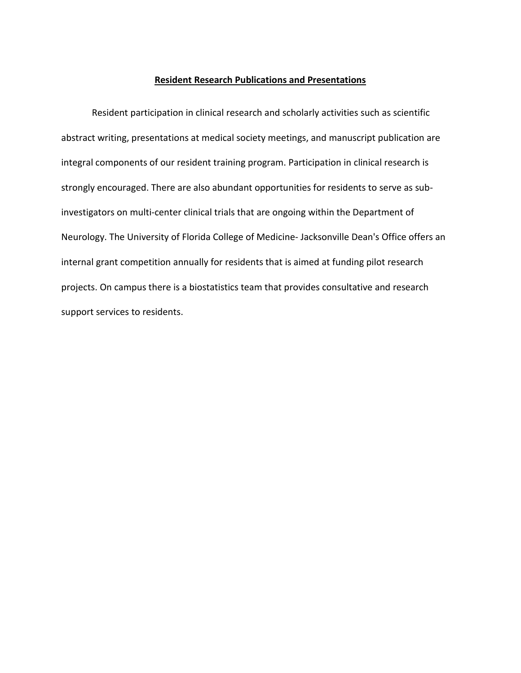## **Resident Research Publications and Presentations**

Resident participation in clinical research and scholarly activities such as scientific abstract writing, presentations at medical society meetings, and manuscript publication are integral components of our resident training program. Participation in clinical research is strongly encouraged. There are also abundant opportunities for residents to serve as subinvestigators on multi-center clinical trials that are ongoing within the Department of Neurology. The University of Florida College of Medicine- Jacksonville Dean's Office offers an internal grant competition annually for residents that is aimed at funding pilot research projects. On campus there is a biostatistics team that provides consultative and research support services to residents.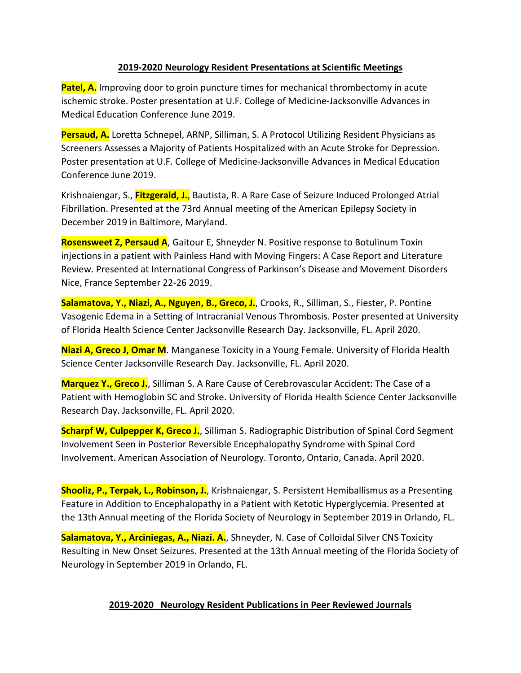## **2019-2020 Neurology Resident Presentations at Scientific Meetings**

**Patel, A.** Improving door to groin puncture times for mechanical thrombectomy in acute ischemic stroke. Poster presentation at U.F. College of Medicine-Jacksonville Advances in Medical Education Conference June 2019.

**Persaud, A.** Loretta Schnepel, ARNP, Silliman, S. A Protocol Utilizing Resident Physicians as Screeners Assesses a Majority of Patients Hospitalized with an Acute Stroke for Depression. Poster presentation at U.F. College of Medicine-Jacksonville Advances in Medical Education Conference June 2019.

Krishnaiengar, S., **Fitzgerald, J.**, Bautista, R. A Rare Case of Seizure Induced Prolonged Atrial Fibrillation. Presented at the 73rd Annual meeting of the American Epilepsy Society in December 2019 in Baltimore, Maryland.

**Rosensweet Z, Persaud A**, Gaitour E, Shneyder N. Positive response to Botulinum Toxin injections in a patient with Painless Hand with Moving Fingers: A Case Report and Literature Review. Presented at International Congress of Parkinson's Disease and Movement Disorders Nice, France September 22-26 2019.

**Salamatova, Y., Niazi, A., Nguyen, B., Greco, J.**, Crooks, R., Silliman, S., Fiester, P. Pontine Vasogenic Edema in a Setting of Intracranial Venous Thrombosis. Poster presented at University of Florida Health Science Center Jacksonville Research Day. Jacksonville, FL. April 2020.

**Niazi A, Greco J, Omar M**. Manganese Toxicity in a Young Female. University of Florida Health Science Center Jacksonville Research Day. Jacksonville, FL. April 2020.

**Marquez Y., Greco J.**, Silliman S. A Rare Cause of Cerebrovascular Accident: The Case of a Patient with Hemoglobin SC and Stroke. University of Florida Health Science Center Jacksonville Research Day. Jacksonville, FL. April 2020.

**Scharpf W, Culpepper K, Greco J.**, Silliman S. Radiographic Distribution of Spinal Cord Segment Involvement Seen in Posterior Reversible Encephalopathy Syndrome with Spinal Cord Involvement. American Association of Neurology. Toronto, Ontario, Canada. April 2020.

**Shooliz, P., Terpak, L., Robinson, J.**, Krishnaiengar, S. Persistent Hemiballismus as a Presenting Feature in Addition to Encephalopathy in a Patient with Ketotic Hyperglycemia. Presented at the 13th Annual meeting of the Florida Society of Neurology in September 2019 in Orlando, FL.

**Salamatova, Y., Arciniegas, A., Niazi. A.**, Shneyder, N. Case of Colloidal Silver CNS Toxicity Resulting in New Onset Seizures. Presented at the 13th Annual meeting of the Florida Society of Neurology in September 2019 in Orlando, FL.

## **2019-2020 Neurology Resident Publications in Peer Reviewed Journals**